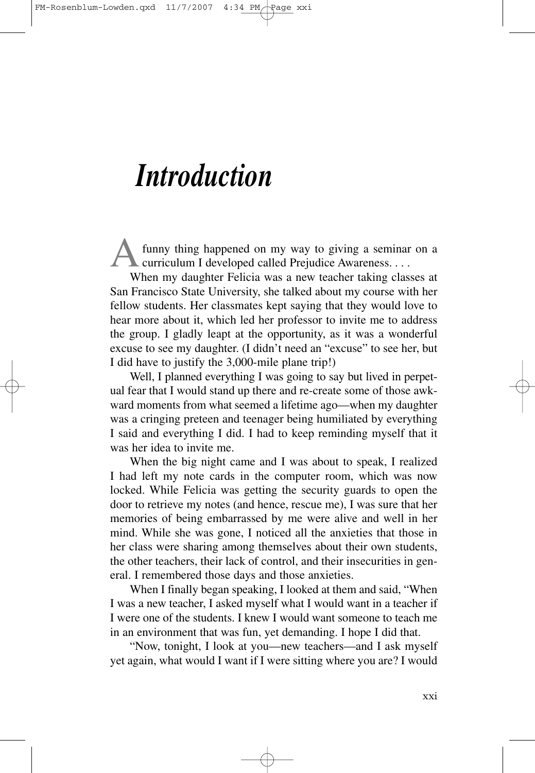## *Introduction*

funny thing happened on my way to giving a seminar on a curriculum I developed called Prejudice Awareness....

When my daughter Felicia was a new teacher taking classes at San Francisco State University, she talked about my course with her fellow students. Her classmates kept saying that they would love to hear more about it, which led her professor to invite me to address the group. I gladly leapt at the opportunity, as it was a wonderful excuse to see my daughter. (I didn't need an "excuse" to see her, but I did have to justify the 3,000-mile plane trip!)

Well, I planned everything I was going to say but lived in perpetual fear that I would stand up there and re-create some of those awkward moments from what seemed a lifetime ago—when my daughter was a cringing preteen and teenager being humiliated by everything I said and everything I did. I had to keep reminding myself that it was her idea to invite me.

When the big night came and I was about to speak, I realized I had left my note cards in the computer room, which was now locked. While Felicia was getting the security guards to open the door to retrieve my notes (and hence, rescue me), I was sure that her memories of being embarrassed by me were alive and well in her mind. While she was gone, I noticed all the anxieties that those in her class were sharing among themselves about their own students, the other teachers, their lack of control, and their insecurities in general. I remembered those days and those anxieties.

When I finally began speaking, I looked at them and said, "When I was a new teacher, I asked myself what I would want in a teacher if I were one of the students. I knew I would want someone to teach me in an environment that was fun, yet demanding. I hope I did that.

"Now, tonight, I look at you—new teachers—and I ask myself yet again, what would I want if I were sitting where you are? I would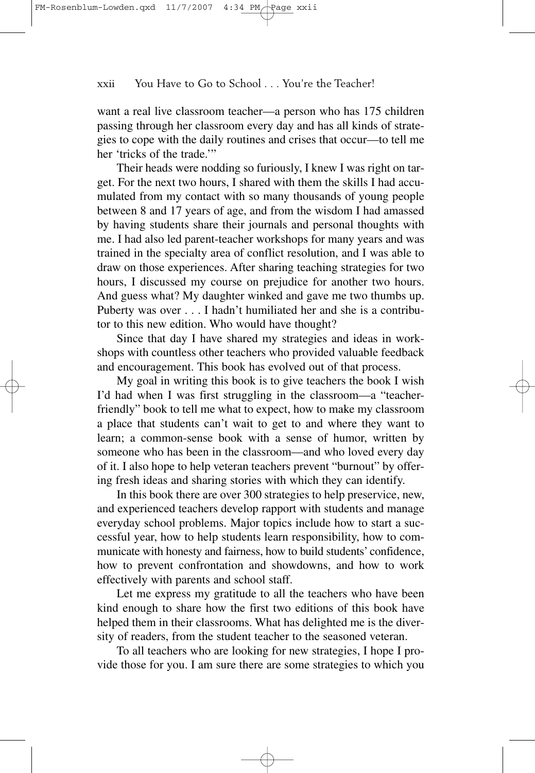## xxii——You Have to Go to School . . . You're the Teacher!

want a real live classroom teacher—a person who has 175 children passing through her classroom every day and has all kinds of strategies to cope with the daily routines and crises that occur—to tell me her 'tricks of the trade.'"

Their heads were nodding so furiously, I knew I was right on target. For the next two hours, I shared with them the skills I had accumulated from my contact with so many thousands of young people between 8 and 17 years of age, and from the wisdom I had amassed by having students share their journals and personal thoughts with me. I had also led parent-teacher workshops for many years and was trained in the specialty area of conflict resolution, and I was able to draw on those experiences. After sharing teaching strategies for two hours, I discussed my course on prejudice for another two hours. And guess what? My daughter winked and gave me two thumbs up. Puberty was over . . . I hadn't humiliated her and she is a contributor to this new edition. Who would have thought?

Since that day I have shared my strategies and ideas in workshops with countless other teachers who provided valuable feedback and encouragement. This book has evolved out of that process.

My goal in writing this book is to give teachers the book I wish I'd had when I was first struggling in the classroom—a "teacherfriendly" book to tell me what to expect, how to make my classroom a place that students can't wait to get to and where they want to learn; a common-sense book with a sense of humor, written by someone who has been in the classroom—and who loved every day of it. I also hope to help veteran teachers prevent "burnout" by offering fresh ideas and sharing stories with which they can identify.

In this book there are over 300 strategies to help preservice, new, and experienced teachers develop rapport with students and manage everyday school problems. Major topics include how to start a successful year, how to help students learn responsibility, how to communicate with honesty and fairness, how to build students' confidence, how to prevent confrontation and showdowns, and how to work effectively with parents and school staff.

Let me express my gratitude to all the teachers who have been kind enough to share how the first two editions of this book have helped them in their classrooms. What has delighted me is the diversity of readers, from the student teacher to the seasoned veteran.

To all teachers who are looking for new strategies, I hope I provide those for you. I am sure there are some strategies to which you